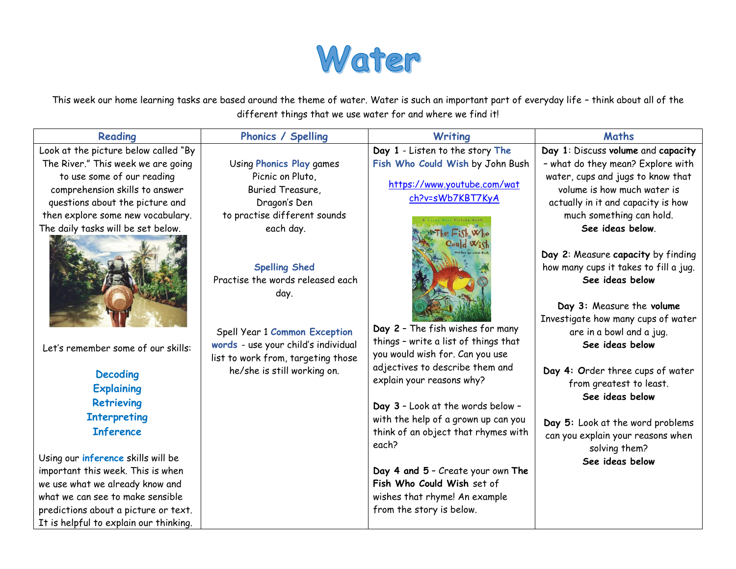

This week our home learning tasks are based around the theme of water. Water is such an important part of everyday life – think about all of the different things that we use water for and where we find it!

| Reading                                | <b>Phonics / Spelling</b>                                            | <b>Writing</b>                       | <b>Maths</b>                                |
|----------------------------------------|----------------------------------------------------------------------|--------------------------------------|---------------------------------------------|
| Look at the picture below called "By   |                                                                      | Day 1 - Listen to the story The      | Day 1: Discuss volume and capacity          |
| The River." This week we are going     | <b>Using Phonics Play games</b>                                      | Fish Who Could Wish by John Bush     | - what do they mean? Explore with           |
| to use some of our reading             | Picnic on Pluto,                                                     |                                      | water, cups and jugs to know that           |
| comprehension skills to answer         | Buried Treasure,                                                     | https://www.youtube.com/wat          | volume is how much water is                 |
| questions about the picture and        | Dragon's Den                                                         | ch?v=sWb7KBT7KyA                     | actually in it and capacity is how          |
| then explore some new vocabulary.      | to practise different sounds                                         |                                      | much something can hold.                    |
| The daily tasks will be set below.     | each day.                                                            | $Fhe$ Fish $W_{ho}$                  | See ideas below.                            |
|                                        |                                                                      | Coul <sub>d</sub> W <sub>i</sub>     |                                             |
|                                        |                                                                      |                                      | Day 2: Measure capacity by finding          |
|                                        | <b>Spelling Shed</b>                                                 |                                      | how many cups it takes to fill a jug.       |
|                                        | Practise the words released each                                     |                                      | See ideas below                             |
|                                        | day.                                                                 |                                      |                                             |
|                                        |                                                                      |                                      | Day 3: Measure the volume                   |
|                                        |                                                                      | Day 2 - The fish wishes for many     | Investigate how many cups of water          |
|                                        | Spell Year 1 Common Exception<br>words - use your child's individual | things - write a list of things that | are in a bowl and a jug.<br>See ideas below |
| Let's remember some of our skills:     | list to work from, targeting those                                   | you would wish for. Can you use      |                                             |
|                                        | he/she is still working on.                                          | adjectives to describe them and      | Day 4: Order three cups of water            |
| <b>Decoding</b>                        |                                                                      | explain your reasons why?            | from greatest to least.                     |
| <b>Explaining</b>                      |                                                                      |                                      | See ideas below                             |
| <b>Retrieving</b>                      |                                                                      | Day 3 - Look at the words below -    |                                             |
| <b>Interpreting</b>                    |                                                                      | with the help of a grown up can you  | Day 5: Look at the word problems            |
| <b>Inference</b>                       |                                                                      | think of an object that rhymes with  | can you explain your reasons when           |
|                                        |                                                                      | each?                                | solving them?                               |
| Using our inference skills will be     |                                                                      |                                      | See ideas below                             |
| important this week. This is when      |                                                                      | Day 4 and 5 - Create your own The    |                                             |
| we use what we already know and        |                                                                      | Fish Who Could Wish set of           |                                             |
| what we can see to make sensible       |                                                                      | wishes that rhyme! An example        |                                             |
| predictions about a picture or text.   |                                                                      | from the story is below.             |                                             |
| It is helpful to explain our thinking. |                                                                      |                                      |                                             |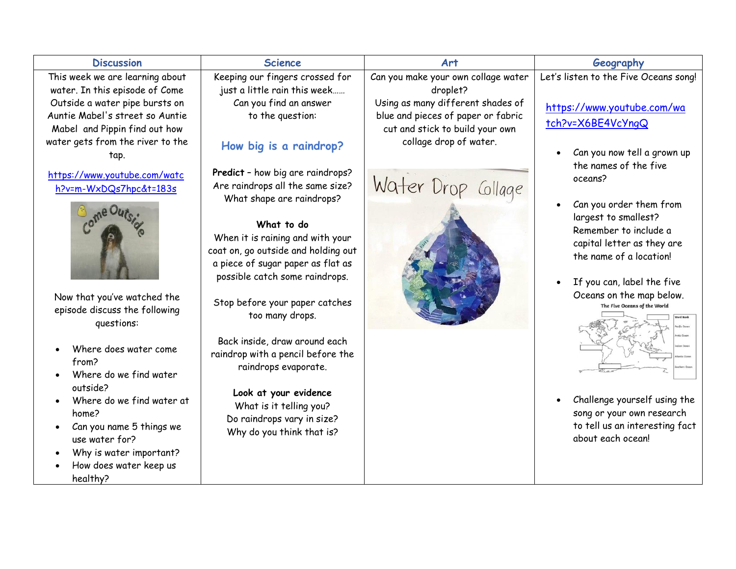| <b>Discussion</b>                                                                                                                                                                                                                                                                                                                                                                                                                                                                                                                                                                        | <b>Science</b>                                                                                                                                                                                                                                                                                                                                                                                                                                                                                                                                                                                                                                                                 | Art                                                                                                                                                                                                          | Geography                                                                                                                                                                                                                                                                                                                                                                                                                                                                                                                                             |
|------------------------------------------------------------------------------------------------------------------------------------------------------------------------------------------------------------------------------------------------------------------------------------------------------------------------------------------------------------------------------------------------------------------------------------------------------------------------------------------------------------------------------------------------------------------------------------------|--------------------------------------------------------------------------------------------------------------------------------------------------------------------------------------------------------------------------------------------------------------------------------------------------------------------------------------------------------------------------------------------------------------------------------------------------------------------------------------------------------------------------------------------------------------------------------------------------------------------------------------------------------------------------------|--------------------------------------------------------------------------------------------------------------------------------------------------------------------------------------------------------------|-------------------------------------------------------------------------------------------------------------------------------------------------------------------------------------------------------------------------------------------------------------------------------------------------------------------------------------------------------------------------------------------------------------------------------------------------------------------------------------------------------------------------------------------------------|
| This week we are learning about<br>water. In this episode of Come<br>Outside a water pipe bursts on<br>Auntie Mabel's street so Auntie<br>Mabel and Pippin find out how<br>water gets from the river to the<br>tap.<br>https://www.youtube.com/watc<br>h?v=m-WxDQs7hpc&t=183s<br>Now that you've watched the<br>episode discuss the following<br>questions:<br>Where does water come<br>from?<br>Where do we find water<br>outside?<br>Where do we find water at<br>home?<br>Can you name 5 things we<br>use water for?<br>Why is water important?<br>How does water keep us<br>healthy? | Keeping our fingers crossed for<br>just a little rain this week<br>Can you find an answer<br>to the question:<br>How big is a raindrop?<br>Predict - how big are raindrops?<br>Are raindrops all the same size?<br>What shape are raindrops?<br>What to do<br>When it is raining and with your<br>coat on, go outside and holding out<br>a piece of sugar paper as flat as<br>possible catch some raindrops.<br>Stop before your paper catches<br>too many drops.<br>Back inside, draw around each<br>raindrop with a pencil before the<br>raindrops evaporate.<br>Look at your evidence<br>What is it telling you?<br>Do raindrops vary in size?<br>Why do you think that is? | Can you make your own collage water<br>droplet?<br>Using as many different shades of<br>blue and pieces of paper or fabric<br>cut and stick to build your own<br>collage drop of water.<br>Water Drop Gllage | Let's listen to the Five Oceans song!<br>https://www.youtube.com/wa<br>tch?v=X6BE4VcYngQ<br>Can you now tell a grown up<br>$\bullet$<br>the names of the five<br>oceans?<br>Can you order them from<br>$\bullet$<br>largest to smallest?<br>Remember to include a<br>capital letter as they are<br>the name of a location!<br>If you can, label the five<br>$\bullet$<br>Oceans on the map below.<br>The Five Oceans of the World<br>Challenge yourself using the<br>song or your own research<br>to tell us an interesting fact<br>about each ocean! |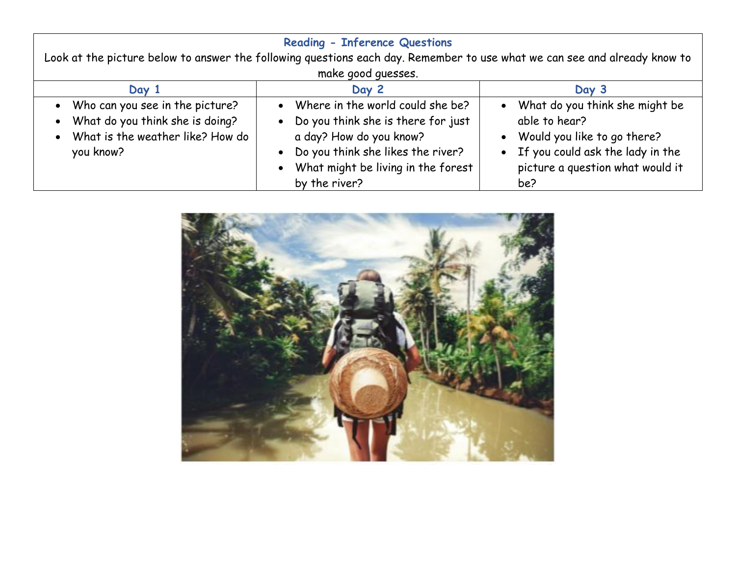| <b>Reading - Inference Questions</b><br>Look at the picture below to answer the following questions each day. Remember to use what we can see and already know to |                                                                                                                                                                                                                  |                                                                                                                                                                                |  |
|-------------------------------------------------------------------------------------------------------------------------------------------------------------------|------------------------------------------------------------------------------------------------------------------------------------------------------------------------------------------------------------------|--------------------------------------------------------------------------------------------------------------------------------------------------------------------------------|--|
|                                                                                                                                                                   | make good quesses.                                                                                                                                                                                               |                                                                                                                                                                                |  |
| Day 1                                                                                                                                                             | Day 2                                                                                                                                                                                                            | Day 3                                                                                                                                                                          |  |
| • Who can you see in the picture?<br>• What do you think she is doing?<br>• What is the weather like? How do<br>you know?                                         | • Where in the world could she be?<br>• Do you think she is there for just<br>a day? How do you know?<br>• Do you think she likes the river?<br>What might be living in the forest<br>$\bullet$<br>by the river? | • What do you think she might be<br>able to hear?<br>Would you like to go there?<br>$\bullet$<br>• If you could ask the lady in the<br>picture a question what would it<br>be? |  |

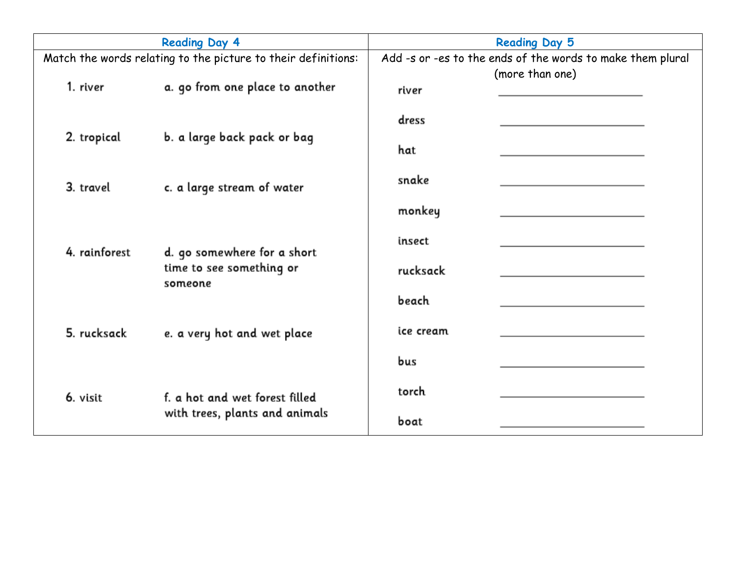| <b>Reading Day 4</b>                                          |                                     | <b>Reading Day 5</b>                                       |                 |  |
|---------------------------------------------------------------|-------------------------------------|------------------------------------------------------------|-----------------|--|
| Match the words relating to the picture to their definitions: |                                     | Add -s or -es to the ends of the words to make them plural |                 |  |
| 1. river                                                      | a. go from one place to another     | river                                                      | (more than one) |  |
|                                                               |                                     | dress                                                      |                 |  |
| 2. tropical                                                   | b. a large back pack or bag         | hat                                                        |                 |  |
| 3. travel                                                     | c. a large stream of water          | snake                                                      |                 |  |
|                                                               |                                     | monkey                                                     |                 |  |
| 4. rainforest                                                 | d. go somewhere for a short         | insect                                                     |                 |  |
|                                                               | time to see something or<br>someone | rucksack                                                   |                 |  |
|                                                               |                                     | beach                                                      |                 |  |
| 5. rucksack                                                   | e. a very hot and wet place         | ice cream                                                  |                 |  |
|                                                               |                                     | bus                                                        |                 |  |
| 6. visit                                                      | f. a hot and wet forest filled      | torch                                                      |                 |  |
|                                                               | with trees, plants and animals      | boat                                                       |                 |  |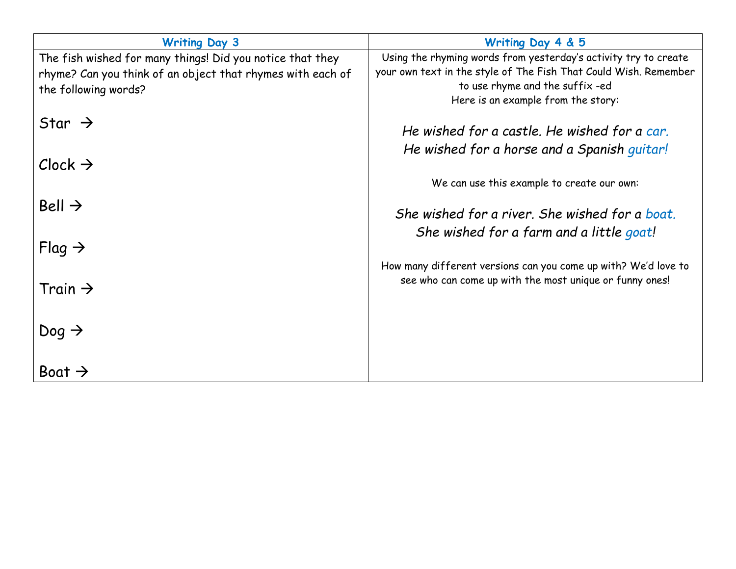| <b>Writing Day 3</b>                                       | Writing Day 4 & 5                                                |  |  |
|------------------------------------------------------------|------------------------------------------------------------------|--|--|
| The fish wished for many things! Did you notice that they  | Using the rhyming words from yesterday's activity try to create  |  |  |
| rhyme? Can you think of an object that rhymes with each of | your own text in the style of The Fish That Could Wish. Remember |  |  |
| the following words?                                       | to use rhyme and the suffix-ed                                   |  |  |
|                                                            | Here is an example from the story:                               |  |  |
| Star $\rightarrow$                                         |                                                                  |  |  |
|                                                            | He wished for a castle. He wished for a car.                     |  |  |
|                                                            | He wished for a horse and a Spanish guitar!                      |  |  |
| $Clock \rightarrow$                                        |                                                                  |  |  |
|                                                            | We can use this example to create our own:                       |  |  |
|                                                            |                                                                  |  |  |
| Bell $\rightarrow$                                         | She wished for a river. She wished for a boat.                   |  |  |
|                                                            | She wished for a farm and a little goat!                         |  |  |
| $Flag \rightarrow$                                         |                                                                  |  |  |
|                                                            |                                                                  |  |  |
|                                                            | How many different versions can you come up with? We'd love to   |  |  |
| Train $\rightarrow$                                        | see who can come up with the most unique or funny ones!          |  |  |
|                                                            |                                                                  |  |  |
|                                                            |                                                                  |  |  |
| Dog $\rightarrow$                                          |                                                                  |  |  |
|                                                            |                                                                  |  |  |
| Boat $\rightarrow$                                         |                                                                  |  |  |
|                                                            |                                                                  |  |  |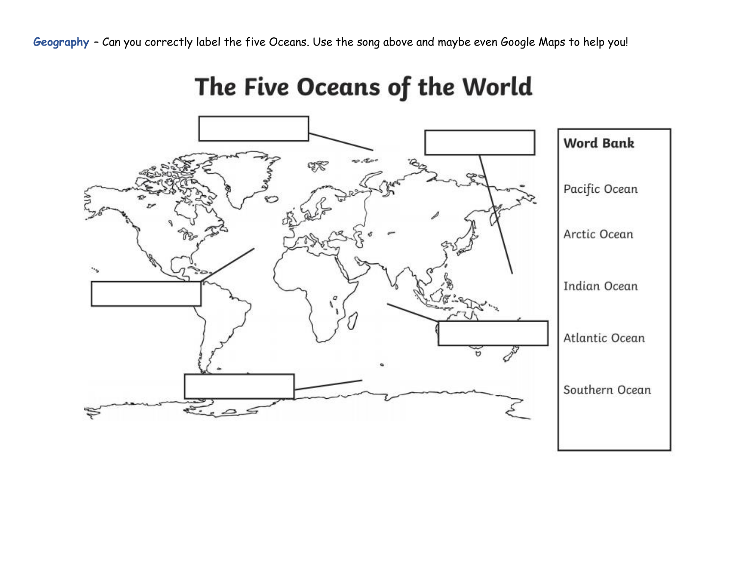**Geography** – Can you correctly label the five Oceans. Use the song above and maybe even Google Maps to help you!

## **Word Bank** qŖ Pacific Ocean š Arctic Ocean **Indian Ocean** Atlantic Ocean Southern Ocean  $\widetilde{\epsilon_{\cdot\cdot}}$

The Five Oceans of the World